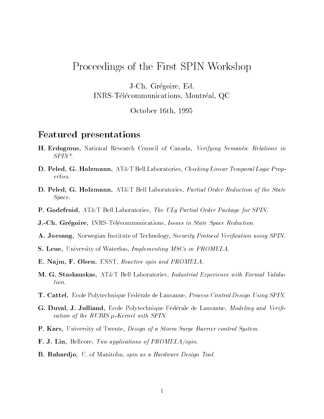## Proceedings of the First SPIN Workshop

J-Ch. Gregoire, Ed.INRS-Telecommunications, Montreal, QC

October 16th, 1995

## Featured presentations

- H. Erdogmus, National Research Council of Canada, Verifying Semantic Relations in SPIN\*.
- D. Peled, G. Holzmann, AT&T Bell Laboratories, Checking Linear Temporal Logic Properties.
- D. Peled, G. Holzmann, AT&T Bell Laboratories, Partial Order Reduction of the State Space.
- P. Godefroid, AT&T Bell Laboratories, The ULg Partial Order Package for SPIN.
- **J.-Ch. Grégoire, INRS-Télécommunications**, Issues in State Space Reduction.
- A. Joesang, Norwegian Institute of Technology, Security Protocol Verification using SPIN.
- S. Leue, University of Waterloo, Implementing MSCs in PROMELA.
- E. Najm, F. Olsen, ENST, Reactive spin and PROMELA.
- M. G. Staskauskas, AT&T Bell Laboratories, Industrial Experience with Formal Validation.
- **T. Cattel, Ecole Polytechnique Fédérale de Lausanne, Process Control Design Using SPIN.**
- G. Duval, J. Julliand, Ecole Polytechnique Fédérale de Lausanne, *Modeling and Verifi*cation of the RUBIS  $\mu$ -Kernel with SPIN.
- P. Kars, University of Twente, Design of a Storm Surge Barrier control System.
- F. J. Lin, Bellcore, Two applications of PROMELA/spin.
- B. Rahardjo, U. of Manitoba, spin as a Hardware Design Tool.